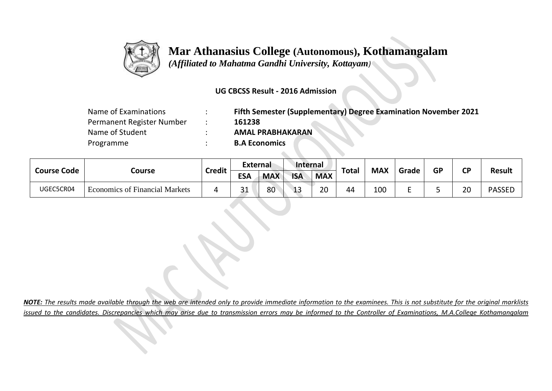

## **Mar Athanasius College (Autonomous), Kothamangalam**

 *(Affiliated to Mahatma Gandhi University, Kottayam)*

## **UG CBCSS Result - 2016 Admission**

| Name of Examinations      | Fifth Semester (Supplementary) Degree Examination November 2021 |
|---------------------------|-----------------------------------------------------------------|
| Permanent Register Number | 161238                                                          |
| Name of Student           | <b>AMAL PRABHAKARAN</b>                                         |
| Programme                 | <b>B.A Economics</b>                                            |

**ALCOHOL:** 

| <b>Course Code</b> | Course                                | <b>Credit</b> | <b>External</b> |            | Internal   |            |              |            |       |           | <b>CP</b> |               |
|--------------------|---------------------------------------|---------------|-----------------|------------|------------|------------|--------------|------------|-------|-----------|-----------|---------------|
|                    |                                       |               | <b>ESA</b>      | <b>MAX</b> | <b>ISA</b> | <b>MAX</b> | <b>Total</b> | <b>MAX</b> | Grade | <b>GP</b> |           | <b>Result</b> |
| UGEC5CR04          | <b>Economics of Financial Markets</b> | 4             | $\mathbf{a}$    | 80         | 12<br>--   | 20         | 44           | 100        |       |           | 20        | <b>PASSED</b> |

*NOTE: The results made available through the web are intended only to provide immediate information to the examinees. This is not substitute for the original marklists issued to the candidates. Discrepancies which may arise due to transmission errors may be informed to the Controller of Examinations, M.A.College Kothamangalam*